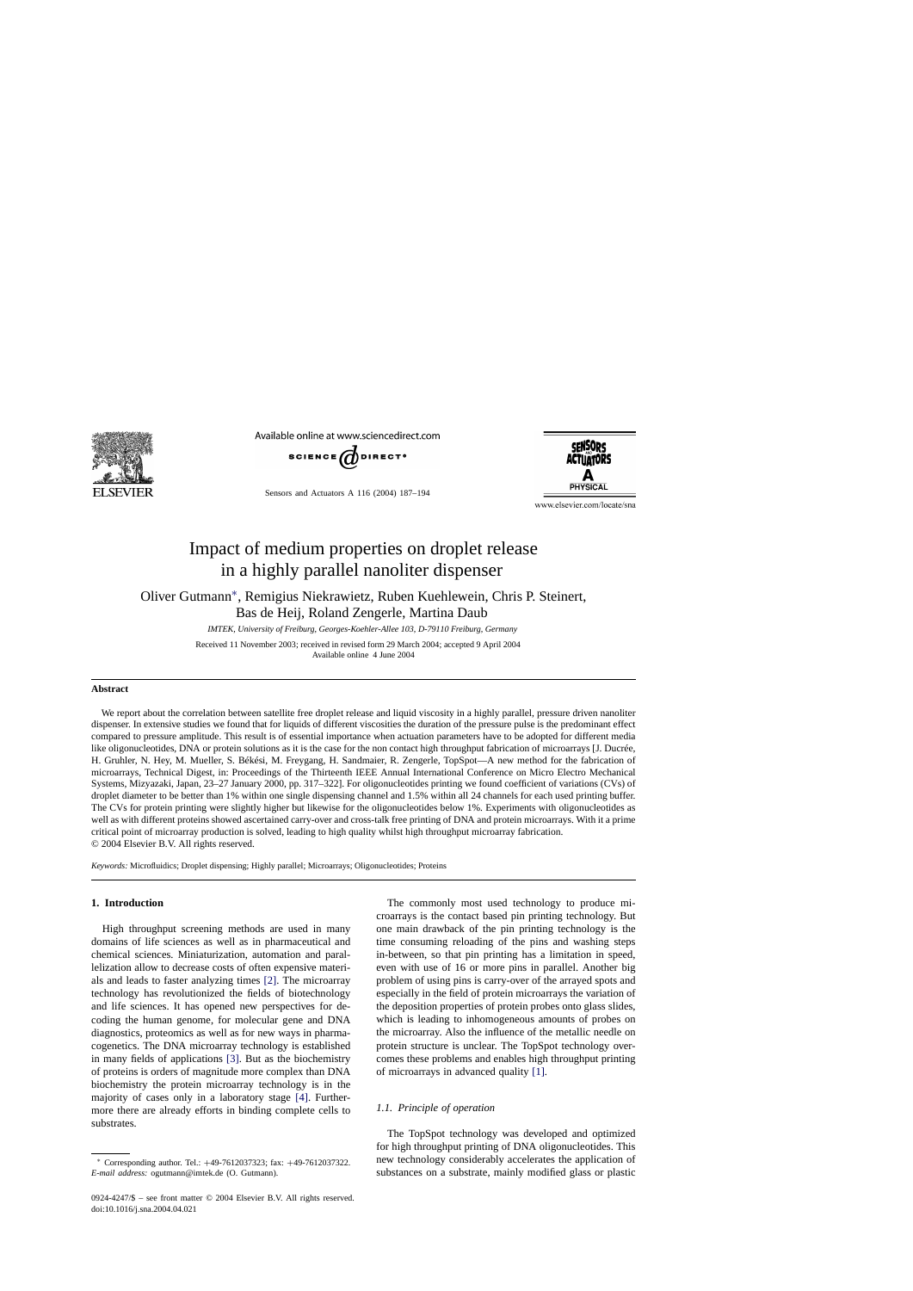

Available online at www.sciencedirect.com



Sensors and Actuators A 116 (2004) 187–194



www.elsevier.com/locate/sna

# Impact of medium properties on droplet release in a highly parallel nanoliter dispenser

Oliver Gutmann∗, Remigius Niekrawietz, Ruben Kuehlewein, Chris P. Steinert, Bas de Heij, Roland Zengerle, Martina Daub

*IMTEK, University of Freiburg, Georges-Koehler-Allee 103, D-79110 Freiburg, Germany*

Received 11 November 2003; received in revised form 29 March 2004; accepted 9 April 2004 Available online 4 June 2004

#### **Abstract**

We report about the correlation between satellite free droplet release and liquid viscosity in a highly parallel, pressure driven nanoliter dispenser. In extensive studies we found that for liquids of different viscosities the duration of the pressure pulse is the predominant effect compared to pressure amplitude. This result is of essential importance when actuation parameters have to be adopted for different media like oligonucleotides, DNA or protein solutions as it is the case for the non contact high throughput fabrication of microarrays [J. Ducrée, H. Gruhler, N. Hey, M. Mueller, S. Békési, M. Freygang, H. Sandmaier, R. Zengerle, TopSpot—A new method for the fabrication of microarrays, Technical Digest, in: Proceedings of the Thirteenth IEEE Annual International Conference on Micro Electro Mechanical Systems, Mizyazaki, Japan, 23–27 January 2000, pp. 317–322]. For oligonucleotides printing we found coefficient of variations (CVs) of droplet diameter to be better than 1% within one single dispensing channel and 1.5% within all 24 channels for each used printing buffer. The CVs for protein printing were slightly higher but likewise for the oligonucleotides below 1%. Experiments with oligonucleotides as well as with different proteins showed ascertained carry-over and cross-talk free printing of DNA and protein microarrays. With it a prime critical point of microarray production is solved, leading to high quality whilst high throughput microarray fabrication. © 2004 Elsevier B.V. All rights reserved.

*Keywords:* Microfluidics; Droplet dispensing; Highly parallel; Microarrays; Oligonucleotides; Proteins

### **1. Introduction**

High throughput screening methods are used in many domains of life sciences as well as in pharmaceutical and chemical sciences. Miniaturization, automation and parallelization allow to decrease costs of often expensive materials and leads to faster analyzing times [\[2\].](#page-6-0) The microarray technology has revolutionized the fields of biotechnology and life sciences. It has opened new perspectives for decoding the human genome, for molecular gene and DNA diagnostics, proteomics as well as for new ways in pharmacogenetics. The DNA microarray technology is established in many fields of applications [\[3\].](#page-6-0) But as the biochemistry of proteins is orders of magnitude more complex than DNA biochemistry the protein microarray technology is in the majority of cases only in a laboratory stage [\[4\].](#page-6-0) Furthermore there are already efforts in binding complete cells to substrates.

The commonly most used technology to produce microarrays is the contact based pin printing technology. But one main drawback of the pin printing technology is the time consuming reloading of the pins and washing steps in-between, so that pin printing has a limitation in speed, even with use of 16 or more pins in parallel. Another big problem of using pins is carry-over of the arrayed spots and especially in the field of protein microarrays the variation of the deposition properties of protein probes onto glass slides, which is leading to inhomogeneous amounts of probes on the microarray. Also the influence of the metallic needle on protein structure is unclear. The TopSpot technology overcomes these problems and enables high throughput printing of microarrays in advanced quality [\[1\].](#page-6-0)

# *1.1. Principle of operation*

The TopSpot technology was developed and optimized for high throughput printing of DNA oligonucleotides. This new technology considerably accelerates the application of substances on a substrate, mainly modified glass or plastic

<sup>∗</sup> Corresponding author. Tel.: +49-7612037323; fax: +49-7612037322. *E-mail address:* ogutmann@imtek.de (O. Gutmann).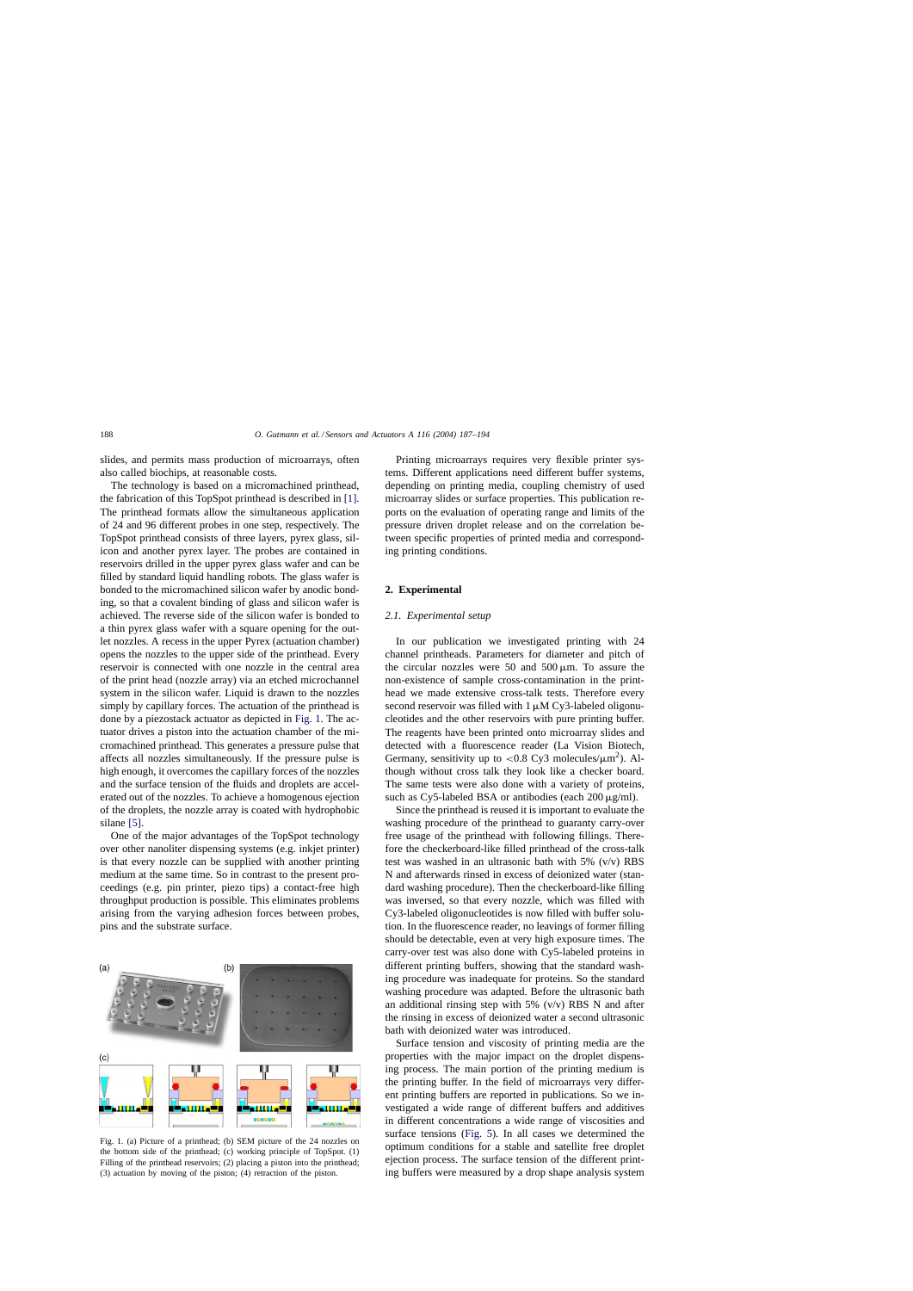slides, and permits mass production of microarrays, often also called biochips, at reasonable costs.

The technology is based on a micromachined printhead, the fabrication of this TopSpot printhead is described in [\[1\].](#page-6-0) The printhead formats allow the simultaneous application of 24 and 96 different probes in one step, respectively. The TopSpot printhead consists of three layers, pyrex glass, silicon and another pyrex layer. The probes are contained in reservoirs drilled in the upper pyrex glass wafer and can be filled by standard liquid handling robots. The glass wafer is bonded to the micromachined silicon wafer by anodic bonding, so that a covalent binding of glass and silicon wafer is achieved. The reverse side of the silicon wafer is bonded to a thin pyrex glass wafer with a square opening for the outlet nozzles. A recess in the upper Pyrex (actuation chamber) opens the nozzles to the upper side of the printhead. Every reservoir is connected with one nozzle in the central area of the print head (nozzle array) via an etched microchannel system in the silicon wafer. Liquid is drawn to the nozzles simply by capillary forces. The actuation of the printhead is done by a piezostack actuator as depicted in Fig. 1. The actuator drives a piston into the actuation chamber of the micromachined printhead. This generates a pressure pulse that affects all nozzles simultaneously. If the pressure pulse is high enough, it overcomes the capillary forces of the nozzles and the surface tension of the fluids and droplets are accelerated out of the nozzles. To achieve a homogenous ejection of the droplets, the nozzle array is coated with hydrophobic silane [\[5\].](#page-6-0)

One of the major advantages of the TopSpot technology over other nanoliter dispensing systems (e.g. inkjet printer) is that every nozzle can be supplied with another printing medium at the same time. So in contrast to the present proceedings (e.g. pin printer, piezo tips) a contact-free high throughput production is possible. This eliminates problems arising from the varying adhesion forces between probes, pins and the substrate surface.



Fig. 1. (a) Picture of a printhead; (b) SEM picture of the 24 nozzles on the bottom side of the printhead; (c) working principle of TopSpot. (1) Filling of the printhead reservoirs; (2) placing a piston into the printhead; (3) actuation by moving of the piston; (4) retraction of the piston.

Printing microarrays requires very flexible printer systems. Different applications need different buffer systems, depending on printing media, coupling chemistry of used microarray slides or surface properties. This publication reports on the evaluation of operating range and limits of the pressure driven droplet release and on the correlation between specific properties of printed media and corresponding printing conditions.

## **2. Experimental**

### *2.1. Experimental setup*

In our publication we investigated printing with 24 channel printheads. Parameters for diameter and pitch of the circular nozzles were 50 and 500  $\mu$ m. To assure the non-existence of sample cross-contamination in the printhead we made extensive cross-talk tests. Therefore every second reservoir was filled with  $1 \mu M Cy3$ -labeled oligonucleotides and the other reservoirs with pure printing buffer. The reagents have been printed onto microarray slides and detected with a fluorescence reader (La Vision Biotech, Germany, sensitivity up to  $\langle 0.8 \text{ Cy3 molecules/}\mu\text{m}^2 \rangle$ . Although without cross talk they look like a checker board. The same tests were also done with a variety of proteins, such as Cy5-labeled BSA or antibodies (each  $200 \mu g/ml$ ).

Since the printhead is reused it is important to evaluate the washing procedure of the printhead to guaranty carry-over free usage of the printhead with following fillings. Therefore the checkerboard-like filled printhead of the cross-talk test was washed in an ultrasonic bath with 5% (v/v) RBS N and afterwards rinsed in excess of deionized water (standard washing procedure). Then the checkerboard-like filling was inversed, so that every nozzle, which was filled with Cy3-labeled oligonucleotides is now filled with buffer solution. In the fluorescence reader, no leavings of former filling should be detectable, even at very high exposure times. The carry-over test was also done with Cy5-labeled proteins in different printing buffers, showing that the standard washing procedure was inadequate for proteins. So the standard washing procedure was adapted. Before the ultrasonic bath an additional rinsing step with 5%  $(v/v)$  RBS N and after the rinsing in excess of deionized water a second ultrasonic bath with deionized water was introduced.

Surface tension and viscosity of printing media are the properties with the major impact on the droplet dispensing process. The main portion of the printing medium is the printing buffer. In the field of microarrays very different printing buffers are reported in publications. So we investigated a wide range of different buffers and additives in different concentrations a wide range of viscosities and surface tensions ([Fig. 5\).](#page-4-0) In all cases we determined the optimum conditions for a stable and satellite free droplet ejection process. The surface tension of the different printing buffers were measured by a drop shape analysis system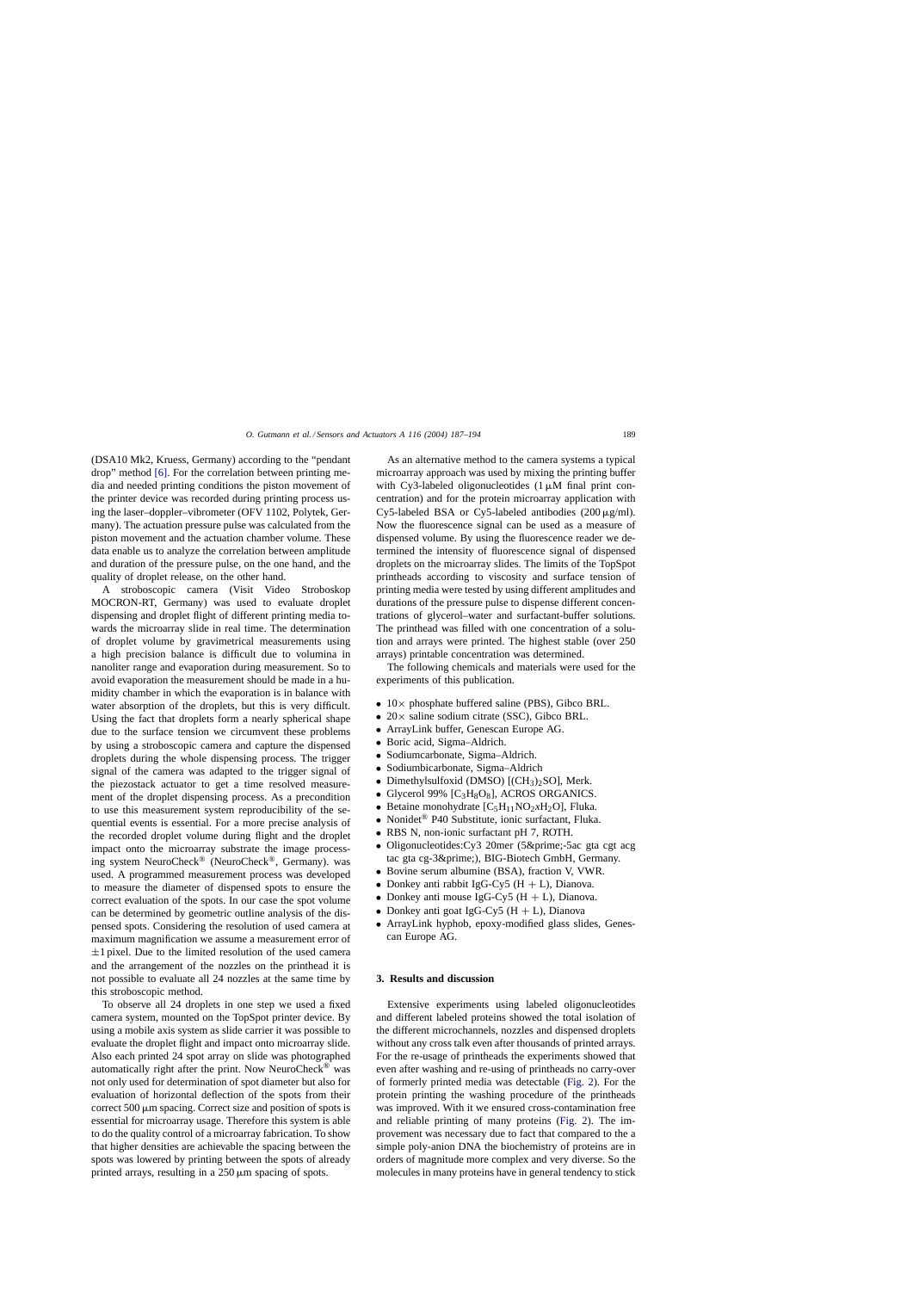(DSA10 Mk2, Kruess, Germany) according to the "pendant drop" method [\[6\].](#page-6-0) For the correlation between printing media and needed printing conditions the piston movement of the printer device was recorded during printing process using the laser–doppler–vibrometer (OFV 1102, Polytek, Germany). The actuation pressure pulse was calculated from the piston movement and the actuation chamber volume. These data enable us to analyze the correlation between amplitude and duration of the pressure pulse, on the one hand, and the quality of droplet release, on the other hand.

A stroboscopic camera (Visit Video Stroboskop MOCRON-RT, Germany) was used to evaluate droplet dispensing and droplet flight of different printing media towards the microarray slide in real time. The determination of droplet volume by gravimetrical measurements using a high precision balance is difficult due to volumina in nanoliter range and evaporation during measurement. So to avoid evaporation the measurement should be made in a humidity chamber in which the evaporation is in balance with water absorption of the droplets, but this is very difficult. Using the fact that droplets form a nearly spherical shape due to the surface tension we circumvent these problems by using a stroboscopic camera and capture the dispensed droplets during the whole dispensing process. The trigger signal of the camera was adapted to the trigger signal of the piezostack actuator to get a time resolved measurement of the droplet dispensing process. As a precondition to use this measurement system reproducibility of the sequential events is essential. For a more precise analysis of the recorded droplet volume during flight and the droplet impact onto the microarray substrate the image processing system NeuroCheck® (NeuroCheck®, Germany). was used. A programmed measurement process was developed to measure the diameter of dispensed spots to ensure the correct evaluation of the spots. In our case the spot volume can be determined by geometric outline analysis of the dispensed spots. Considering the resolution of used camera at maximum magnification we assume a measurement error of  $\pm 1$  pixel. Due to the limited resolution of the used camera and the arrangement of the nozzles on the printhead it is not possible to evaluate all 24 nozzles at the same time by this stroboscopic method.

To observe all 24 droplets in one step we used a fixed camera system, mounted on the TopSpot printer device. By using a mobile axis system as slide carrier it was possible to evaluate the droplet flight and impact onto microarray slide. Also each printed 24 spot array on slide was photographed automatically right after the print. Now NeuroCheck® was not only used for determination of spot diameter but also for evaluation of horizontal deflection of the spots from their correct  $500 \mu m$  spacing. Correct size and position of spots is essential for microarray usage. Therefore this system is able to do the quality control of a microarray fabrication. To show that higher densities are achievable the spacing between the spots was lowered by printing between the spots of already printed arrays, resulting in a  $250 \mu m$  spacing of spots.

As an alternative method to the camera systems a typical microarray approach was used by mixing the printing buffer with Cy3-labeled oligonucleotides  $(1 \mu M)$  final print concentration) and for the protein microarray application with Cy5-labeled BSA or Cy5-labeled antibodies  $(200 \,\mu\text{g/ml})$ . Now the fluorescence signal can be used as a measure of dispensed volume. By using the fluorescence reader we determined the intensity of fluorescence signal of dispensed droplets on the microarray slides. The limits of the TopSpot printheads according to viscosity and surface tension of printing media were tested by using different amplitudes and durations of the pressure pulse to dispense different concentrations of glycerol–water and surfactant-buffer solutions. The printhead was filled with one concentration of a solution and arrays were printed. The highest stable (over 250 arrays) printable concentration was determined.

The following chemicals and materials were used for the experiments of this publication.

- $10 \times$  phosphate buffered saline (PBS), Gibco BRL.
- 20 x saline sodium citrate (SSC), Gibco BRL.
- ArrayLink buffer, Genescan Europe AG.
- Boric acid, Sigma–Aldrich.
- Sodiumcarbonate, Sigma–Aldrich.
- 
- Sodiumbicarbonate, Sigma–Aldrich<br>• Dimethylsulfoxid (DMSO)  $[(CH_3)_2]$
- Dimethylsulfoxid (DMSO)  $[(CH<sub>3</sub>)<sub>2</sub>SO]$ , Merk.<br>• Glycerol 99%  $[C<sub>3</sub>H<sub>8</sub>O<sub>8</sub>]$ , ACROS ORGANICS Glycerol 99%  $[C_3H_8O_8]$ , ACROS ORGANICS.
- Betaine monohydrate  $[C_5H_{11}NO_2xH_2O]$ , Fluka.<br>• Nonidet<sup>®</sup> P40 Substitute, ionic surfactant. Fluka.
- Nonidet<sup>®</sup> P40 Substitute, ionic surfactant, Fluka.<br>• RBS N, non-ionic surfactant pH 7, ROTH.
- RBS N, non-ionic surfactant pH 7, ROTH.
- Oligonucleotides:Cy3 20mer (5′-5ac gta cgt acg tac gta cg-3′), BIG-Biotech GmbH, Germany.
- Bovine serum albumine (BSA), fraction V, VWR.
- Donkey anti rabbit IgG-Cy5  $(H + L)$ , Dianova.
- Donkey anti mouse IgG-Cy5  $(H + L)$ , Dianova.
- Donkey anti goat IgG-Cy5 (H + L), Dianova
- ArrayLink hyphob, epoxy-modified glass slides, Genescan Europe AG.

### **3. Results and discussion**

Extensive experiments using labeled oligonucleotides and different labeled proteins showed the total isolation of the different microchannels, nozzles and dispensed droplets without any cross talk even after thousands of printed arrays. For the re-usage of printheads the experiments showed that even after washing and re-using of printheads no carry-over of formerly printed media was detectable [\(Fig. 2\).](#page-3-0) For the protein printing the washing procedure of the printheads was improved. With it we ensured cross-contamination free and reliable printing of many proteins ([Fig. 2\)](#page-3-0). The improvement was necessary due to fact that compared to the a simple poly-anion DNA the biochemistry of proteins are in orders of magnitude more complex and very diverse. So the molecules in many proteins have in general tendency to stick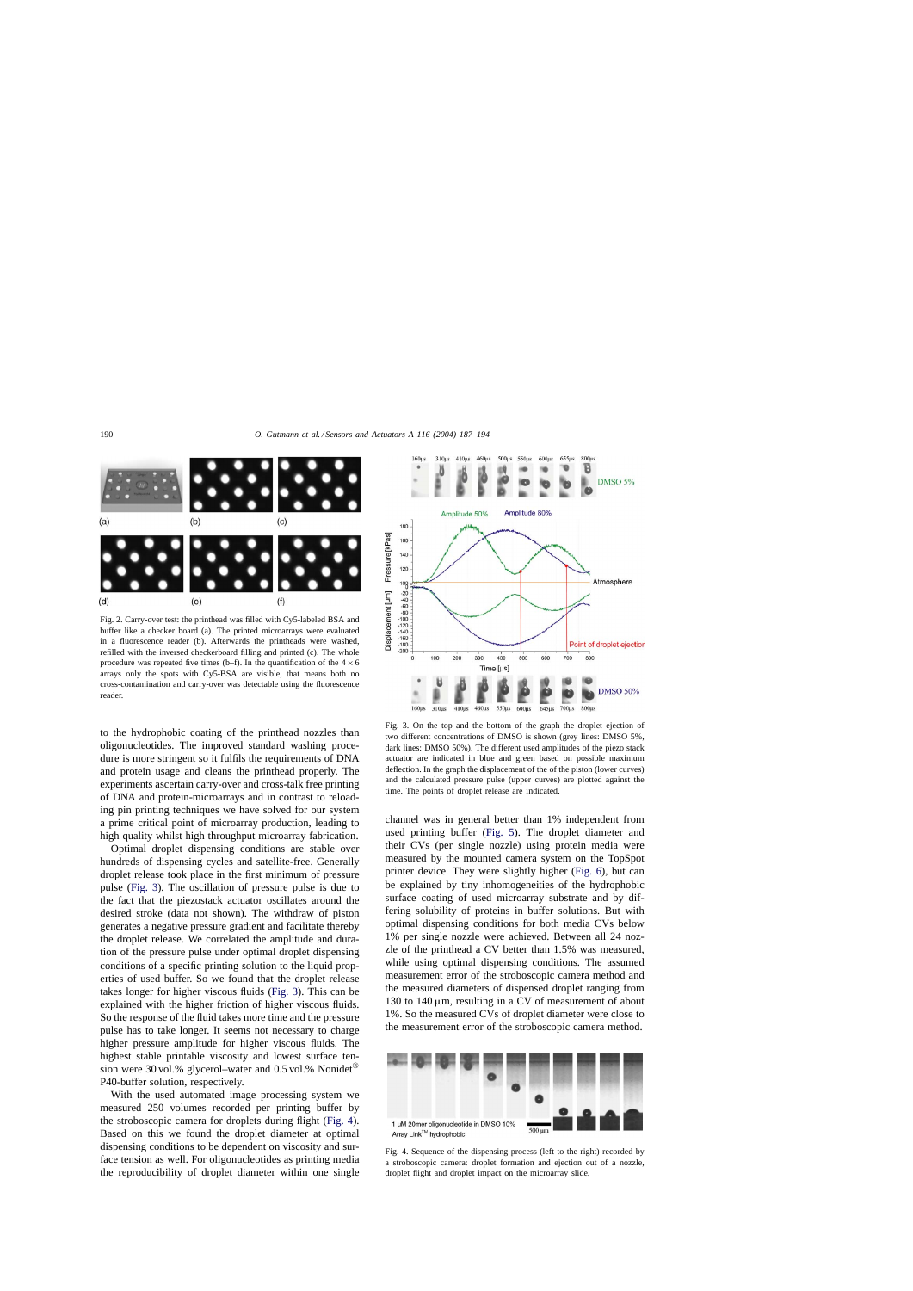<span id="page-3-0"></span>

Fig. 2. Carry-over test: the printhead was filled with Cy5-labeled BSA and buffer like a checker board (a). The printed microarrays were evaluated in a fluorescence reader (b). Afterwards the printheads were washed, refilled with the inversed checkerboard filling and printed (c). The whole procedure was repeated five times (b–f). In the quantification of the  $4 \times 6$ arrays only the spots with Cy5-BSA are visible, that means both no cross-contamination and carry-over was detectable using the fluorescence reader.

to the hydrophobic coating of the printhead nozzles than oligonucleotides. The improved standard washing procedure is more stringent so it fulfils the requirements of DNA and protein usage and cleans the printhead properly. The experiments ascertain carry-over and cross-talk free printing of DNA and protein-microarrays and in contrast to reloading pin printing techniques we have solved for our system a prime critical point of microarray production, leading to high quality whilst high throughput microarray fabrication.

Optimal droplet dispensing conditions are stable over hundreds of dispensing cycles and satellite-free. Generally droplet release took place in the first minimum of pressure pulse (Fig. 3). The oscillation of pressure pulse is due to the fact that the piezostack actuator oscillates around the desired stroke (data not shown). The withdraw of piston generates a negative pressure gradient and facilitate thereby the droplet release. We correlated the amplitude and duration of the pressure pulse under optimal droplet dispensing conditions of a specific printing solution to the liquid properties of used buffer. So we found that the droplet release takes longer for higher viscous fluids (Fig. 3). This can be explained with the higher friction of higher viscous fluids. So the response of the fluid takes more time and the pressure pulse has to take longer. It seems not necessary to charge higher pressure amplitude for higher viscous fluids. The highest stable printable viscosity and lowest surface tension were 30 vol.% glycerol–water and 0.5 vol.% Nonidet<sup>®</sup> P40-buffer solution, respectively.

With the used automated image processing system we measured 250 volumes recorded per printing buffer by the stroboscopic camera for droplets during flight (Fig. 4). Based on this we found the droplet diameter at optimal dispensing conditions to be dependent on viscosity and surface tension as well. For oligonucleotides as printing media the reproducibility of droplet diameter within one single



Fig. 3. On the top and the bottom of the graph the droplet ejection of two different concentrations of DMSO is shown (grey lines: DMSO 5%, dark lines: DMSO 50%). The different used amplitudes of the piezo stack actuator are indicated in blue and green based on possible maximum deflection. In the graph the displacement of the of the piston (lower curves) and the calculated pressure pulse (upper curves) are plotted against the time. The points of droplet release are indicated.

channel was in general better than 1% independent from used printing buffer [\(Fig. 5\)](#page-4-0). The droplet diameter and their CVs (per single nozzle) using protein media were measured by the mounted camera system on the TopSpot printer device. They were slightly higher ([Fig. 6\),](#page-4-0) but can be explained by tiny inhomogeneities of the hydrophobic surface coating of used microarray substrate and by differing solubility of proteins in buffer solutions. But with optimal dispensing conditions for both media CVs below 1% per single nozzle were achieved. Between all 24 nozzle of the printhead a CV better than 1.5% was measured, while using optimal dispensing conditions. The assumed measurement error of the stroboscopic camera method and the measured diameters of dispensed droplet ranging from 130 to 140  $\mu$ m, resulting in a CV of measurement of about 1%. So the measured CVs of droplet diameter were close to the measurement error of the stroboscopic camera method.



Fig. 4. Sequence of the dispensing process (left to the right) recorded by a stroboscopic camera: droplet formation and ejection out of a nozzle, droplet flight and droplet impact on the microarray slide.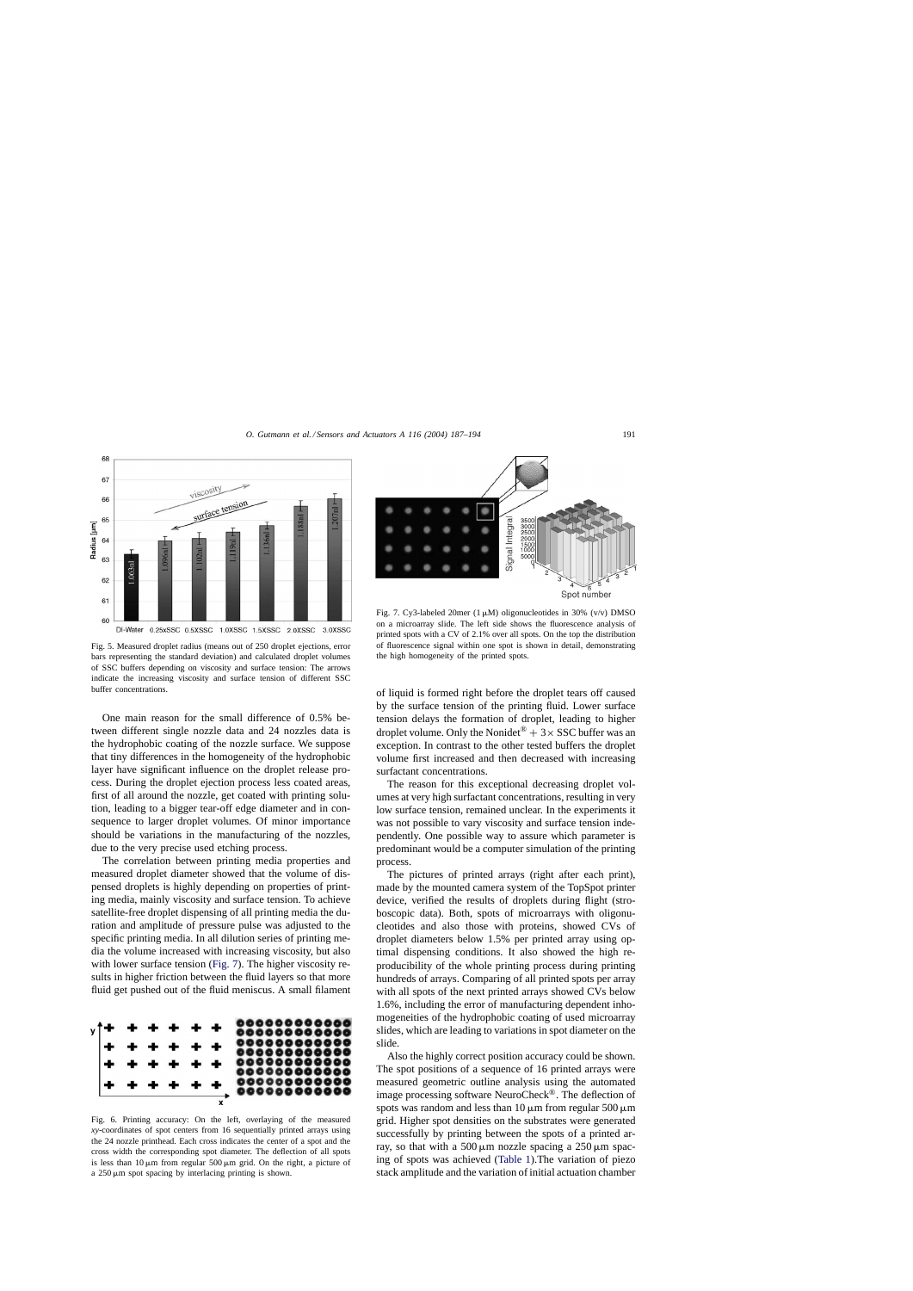One main reason for the small difference of 0.5% between different single nozzle data and 24 nozzles data is the hydrophobic coating of the nozzle surface. We suppose that tiny differences in the homogeneity of the hydrophobic layer have significant influence on the droplet release process. During the droplet ejection process less coated areas, first of all around the nozzle, get coated with printing solution, leading to a bigger tear-off edge diameter and in consequence to larger droplet volumes. Of minor importance should be variations in the manufacturing of the nozzles, due to the very precise used etching process.

The correlation between printing media properties and measured droplet diameter showed that the volume of dispensed droplets is highly depending on properties of printing media, mainly viscosity and surface tension. To achieve satellite-free droplet dispensing of all printing media the duration and amplitude of pressure pulse was adjusted to the specific printing media. In all dilution series of printing media the volume increased with increasing viscosity, but also with lower surface tension (Fig. 7). The higher viscosity results in higher friction between the fluid layers so that more fluid get pushed out of the fluid meniscus. A small filament

> 8888888 66666

0000000

# Fig. 6. Printing accuracy: On the left, overlaying of the measured

*xy*-coordinates of spot centers from 16 sequentially printed arrays using the 24 nozzle printhead. Each cross indicates the center of a spot and the cross width the corresponding spot diameter. The deflection of all spots is less than  $10 \mu m$  from regular  $500 \mu m$  grid. On the right, a picture of a  $250 \mu m$  spot spacing by interlacing printing is shown.

 $\mathbf{x}$ 

of fluorescence signal within one spot is shown in detail, demonstrating the high homogeneity of the printed spots. of liquid is formed right before the droplet tears off caused

Fig. 7. Cy3-labeled 20mer (1  $\mu$ M) oligonucleotides in 30% (v/v) DMSO on a microarray slide. The left side shows the fluorescence analysis of printed spots with a CV of 2.1% over all spots. On the top the distribution

by the surface tension of the printing fluid. Lower surface tension delays the formation of droplet, leading to higher droplet volume. Only the Nonidet<sup>®</sup> +  $3 \times$  SSC buffer was an exception. In contrast to the other tested buffers the droplet volume first increased and then decreased with increasing surfactant concentrations.

The reason for this exceptional decreasing droplet volumes at very high surfactant concentrations, resulting in very low surface tension, remained unclear. In the experiments it was not possible to vary viscosity and surface tension independently. One possible way to assure which parameter is predominant would be a computer simulation of the printing process.

The pictures of printed arrays (right after each print), made by the mounted camera system of the TopSpot printer device, verified the results of droplets during flight (stroboscopic data). Both, spots of microarrays with oligonucleotides and also those with proteins, showed CVs of droplet diameters below 1.5% per printed array using optimal dispensing conditions. It also showed the high reproducibility of the whole printing process during printing hundreds of arrays. Comparing of all printed spots per array with all spots of the next printed arrays showed CVs below 1.6%, including the error of manufacturing dependent inhomogeneities of the hydrophobic coating of used microarray slides, which are leading to variations in spot diameter on the slide.

Also the highly correct position accuracy could be shown. The spot positions of a sequence of 16 printed arrays were measured geometric outline analysis using the automated image processing software NeuroCheck®. The deflection of spots was random and less than 10  $\mu$ m from regular 500  $\mu$ m grid. Higher spot densities on the substrates were generated successfully by printing between the spots of a printed array, so that with a 500  $\mu$ m nozzle spacing a 250  $\mu$ m spacing of spots was achieved ([Table 1\).](#page-5-0)The variation of piezo stack amplitude and the variation of initial actuation chamber

Fig. 5. Measured droplet radius (means out of 250 droplet ejections, error bars representing the standard deviation) and calculated droplet volumes of SSC buffers depending on viscosity and surface tension: The arrows indicate the increasing viscosity and surface tension of different SSC buffer concentrations.



<span id="page-4-0"></span>

68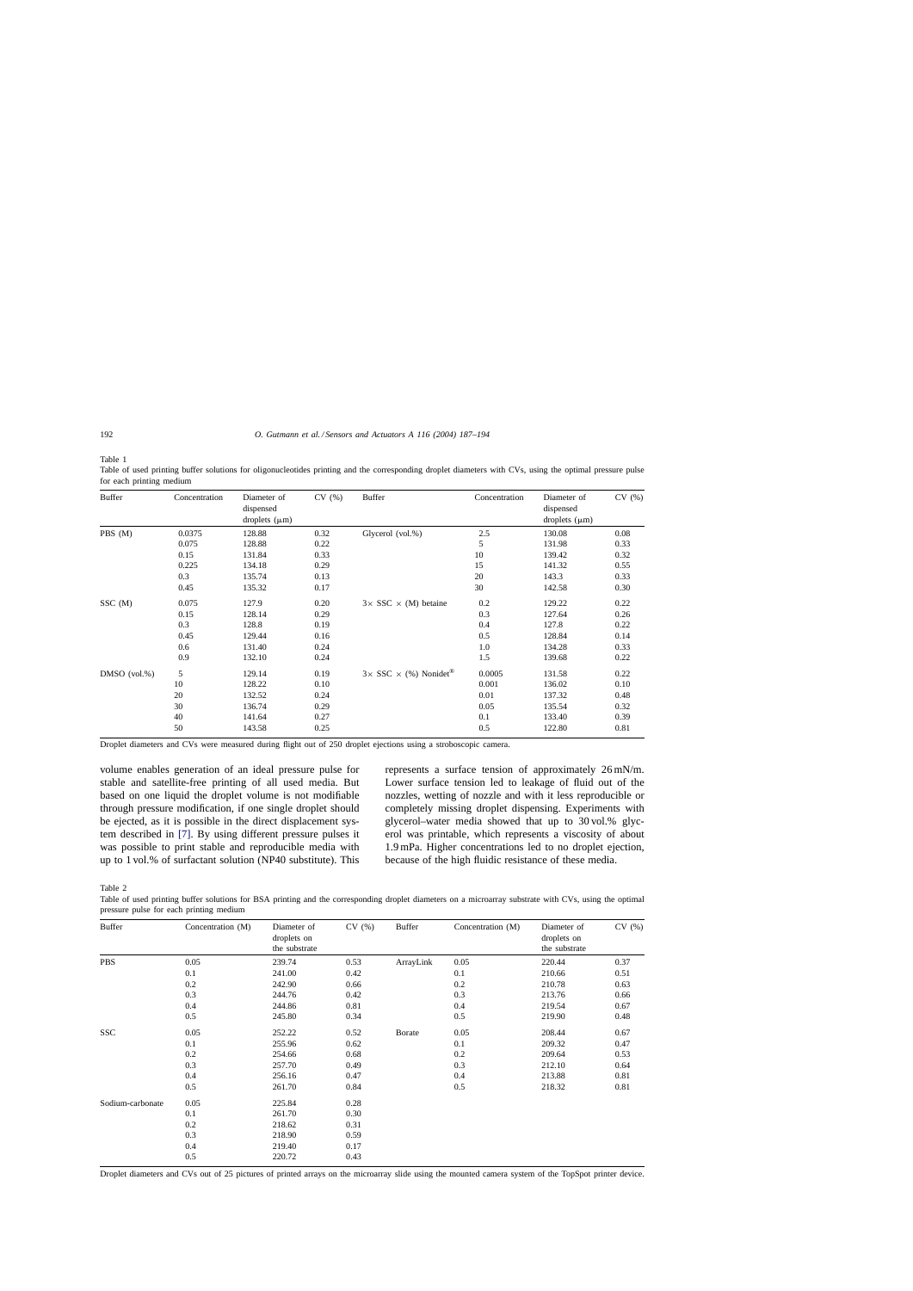<span id="page-5-0"></span>Table 1

Table of used printing buffer solutions for oligonucleotides printing and the corresponding droplet diameters with CVs, using the optimal pressure pulse for each printing medium

| <b>Buffer</b>  | Concentration | Diameter of<br>dispensed<br>droplets $(\mu m)$ | CV(%) | <b>Buffer</b>                                  | Concentration | Diameter of<br>dispensed<br>droplets $(\mu m)$ | CV(%) |
|----------------|---------------|------------------------------------------------|-------|------------------------------------------------|---------------|------------------------------------------------|-------|
| PBS (M)        | 0.0375        | 128.88                                         | 0.32  | Glycerol (vol.%)                               | 2.5           | 130.08                                         | 0.08  |
|                | 0.075         | 128.88                                         | 0.22  |                                                | 5             | 131.98                                         | 0.33  |
|                | 0.15          | 131.84                                         | 0.33  |                                                | 10            | 139.42                                         | 0.32  |
|                | 0.225         | 134.18                                         | 0.29  |                                                | 15            | 141.32                                         | 0.55  |
|                | 0.3           | 135.74                                         | 0.13  |                                                | 20            | 143.3                                          | 0.33  |
|                | 0.45          | 135.32                                         | 0.17  |                                                | 30            | 142.58                                         | 0.30  |
| SSC (M)        | 0.075         | 127.9                                          | 0.20  | $3 \times$ SSC $\times$ (M) betaine            | 0.2           | 129.22                                         | 0.22  |
|                | 0.15          | 128.14                                         | 0.29  |                                                | 0.3           | 127.64                                         | 0.26  |
|                | 0.3           | 128.8                                          | 0.19  |                                                | 0.4           | 127.8                                          | 0.22  |
|                | 0.45          | 129.44                                         | 0.16  |                                                | 0.5           | 128.84                                         | 0.14  |
|                | 0.6           | 131.40                                         | 0.24  |                                                | 1.0           | 134.28                                         | 0.33  |
|                | 0.9           | 132.10                                         | 0.24  |                                                | 1.5           | 139.68                                         | 0.22  |
| $DMSO$ (vol.%) | 5             | 129.14                                         | 0.19  | $3 \times SSC \times$ (%) Nonidet <sup>®</sup> | 0.0005        | 131.58                                         | 0.22  |
|                | 10            | 128.22                                         | 0.10  |                                                | 0.001         | 136.02                                         | 0.10  |
|                | 20            | 132.52                                         | 0.24  |                                                | 0.01          | 137.32                                         | 0.48  |
|                | 30            | 136.74                                         | 0.29  |                                                | 0.05          | 135.54                                         | 0.32  |
|                | 40            | 141.64                                         | 0.27  |                                                | 0.1           | 133.40                                         | 0.39  |
|                | 50            | 143.58                                         | 0.25  |                                                | 0.5           | 122.80                                         | 0.81  |

Droplet diameters and CVs were measured during flight out of 250 droplet ejections using a stroboscopic camera.

volume enables generation of an ideal pressure pulse for stable and satellite-free printing of all used media. But based on one liquid the droplet volume is not modifiable through pressure modification, if one single droplet should be ejected, as it is possible in the direct displacement system described in [\[7\].](#page-6-0) By using different pressure pulses it was possible to print stable and reproducible media with up to 1 vol.% of surfactant solution (NP40 substitute). This

represents a surface tension of approximately 26 mN/m. Lower surface tension led to leakage of fluid out of the nozzles, wetting of nozzle and with it less reproducible or completely missing droplet dispensing. Experiments with glycerol–water media showed that up to 30 vol.% glycerol was printable, which represents a viscosity of about 1.9 mPa. Higher concentrations led to no droplet ejection, because of the high fluidic resistance of these media.

Table 2

Table of used printing buffer solutions for BSA printing and the corresponding droplet diameters on a microarray substrate with CVs, using the optimal pressure pulse for each printing medium

| Buffer           | Concentration (M) | Diameter of<br>droplets on<br>the substrate | CV(%) | <b>Buffer</b>  | Concentration (M) | Diameter of<br>droplets on<br>the substrate | CV(%) |
|------------------|-------------------|---------------------------------------------|-------|----------------|-------------------|---------------------------------------------|-------|
| <b>PBS</b>       | 0.05              | 239.74                                      | 0.53  | ArrayLink      | 0.05              | 220.44                                      | 0.37  |
|                  | 0.1               | 241.00                                      | 0.42  |                | 0.1               | 210.66                                      | 0.51  |
|                  | 0.2               | 242.90                                      | 0.66  |                | 0.2               | 210.78                                      | 0.63  |
|                  | 0.3               | 244.76                                      | 0.42  |                | 0.3               | 213.76                                      | 0.66  |
|                  | 0.4               | 244.86                                      | 0.81  |                | 0.4               | 219.54                                      | 0.67  |
|                  | 0.5               | 245.80                                      | 0.34  |                | 0.5               | 219.90                                      | 0.48  |
| <b>SSC</b>       | 0.05              | 252.22                                      | 0.52  | <b>B</b> orate | 0.05              | 208.44                                      | 0.67  |
|                  | 0.1               | 255.96                                      | 0.62  |                | 0.1               | 209.32                                      | 0.47  |
|                  | 0.2               | 254.66                                      | 0.68  |                | 0.2               | 209.64                                      | 0.53  |
|                  | 0.3               | 257.70                                      | 0.49  |                | 0.3               | 212.10                                      | 0.64  |
|                  | 0.4               | 256.16                                      | 0.47  |                | 0.4               | 213.88                                      | 0.81  |
|                  | 0.5               | 261.70                                      | 0.84  |                | 0.5               | 218.32                                      | 0.81  |
| Sodium-carbonate | 0.05              | 225.84                                      | 0.28  |                |                   |                                             |       |
|                  | 0.1               | 261.70                                      | 0.30  |                |                   |                                             |       |
|                  | 0.2               | 218.62                                      | 0.31  |                |                   |                                             |       |
|                  | 0.3               | 218.90                                      | 0.59  |                |                   |                                             |       |
|                  | 0.4               | 219.40                                      | 0.17  |                |                   |                                             |       |
|                  | 0.5               | 220.72                                      | 0.43  |                |                   |                                             |       |

Droplet diameters and CVs out of 25 pictures of printed arrays on the microarray slide using the mounted camera system of the TopSpot printer device.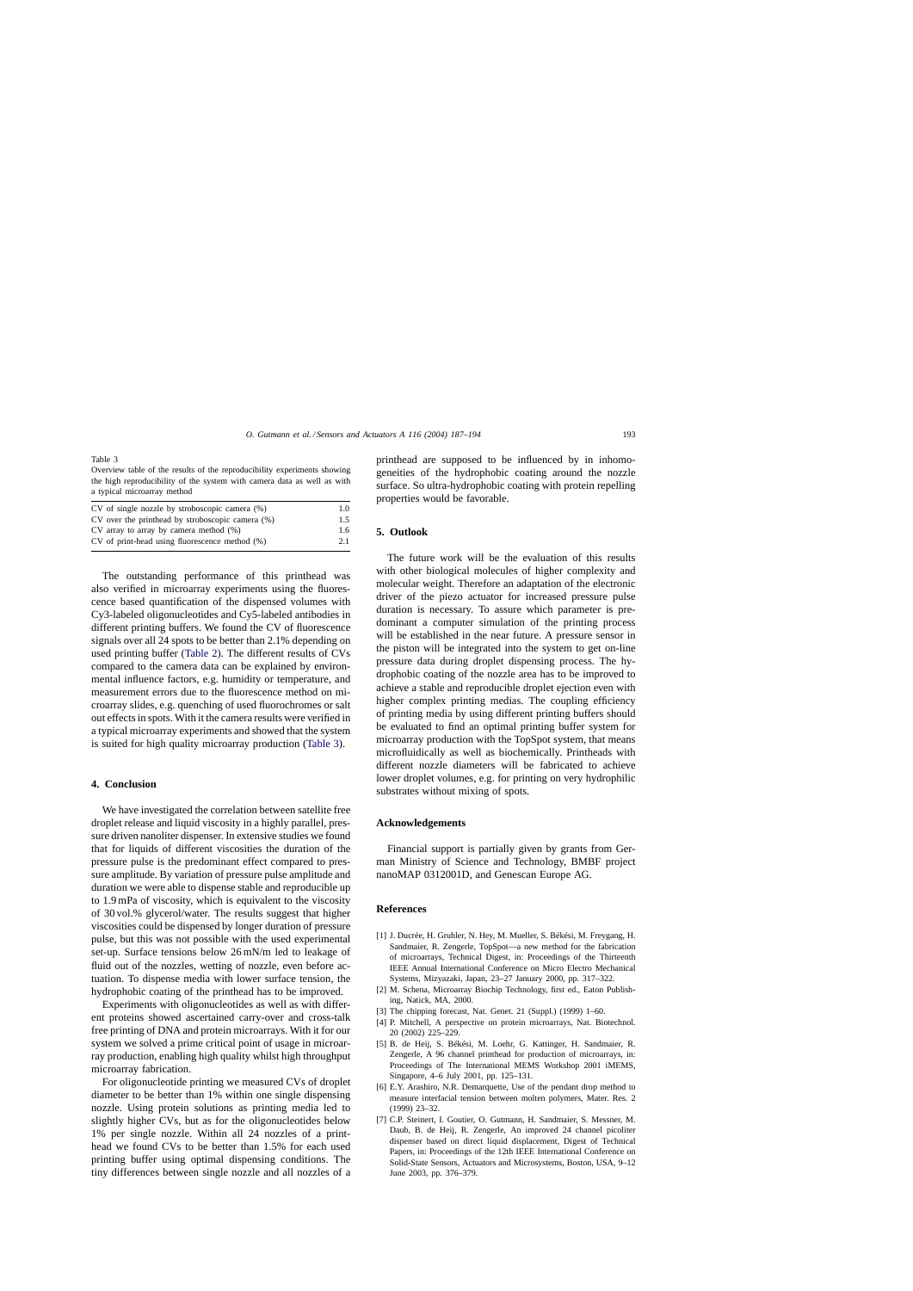<span id="page-6-0"></span>Table 3

Overview table of the results of the reproducibility experiments showing the high reproducibility of the system with camera data as well as with a typical microarray method

| $CV$ of single nozzle by stroboscopic camera $(\%)$   | 1.0 |
|-------------------------------------------------------|-----|
| $CV$ over the printhead by stroboscopic camera $(\%)$ | 1.5 |
| $CV$ array to array by camera method $(\%)$           | 1.6 |
| CV of print-head using fluorescence method (%)        | 2.1 |
|                                                       |     |

The outstanding performance of this printhead was also verified in microarray experiments using the fluorescence based quantification of the dispensed volumes with Cy3-labeled oligonucleotides and Cy5-labeled antibodies in different printing buffers. We found the CV of fluorescence signals over all 24 spots to be better than 2.1% depending on used printing buffer ([Table 2\).](#page-5-0) The different results of CVs compared to the camera data can be explained by environmental influence factors, e.g. humidity or temperature, and measurement errors due to the fluorescence method on microarray slides, e.g. quenching of used fluorochromes or salt out effects in spots. With it the camera results were verified in a typical microarray experiments and showed that the system is suited for high quality microarray production (Table 3).

### **4. Conclusion**

We have investigated the correlation between satellite free droplet release and liquid viscosity in a highly parallel, pressure driven nanoliter dispenser. In extensive studies we found that for liquids of different viscosities the duration of the pressure pulse is the predominant effect compared to pressure amplitude. By variation of pressure pulse amplitude and duration we were able to dispense stable and reproducible up to 1.9 mPa of viscosity, which is equivalent to the viscosity of 30 vol.% glycerol/water. The results suggest that higher viscosities could be dispensed by longer duration of pressure pulse, but this was not possible with the used experimental set-up. Surface tensions below 26 mN/m led to leakage of fluid out of the nozzles, wetting of nozzle, even before actuation. To dispense media with lower surface tension, the hydrophobic coating of the printhead has to be improved.

Experiments with oligonucleotides as well as with different proteins showed ascertained carry-over and cross-talk free printing of DNA and protein microarrays. With it for our system we solved a prime critical point of usage in microarray production, enabling high quality whilst high throughput microarray fabrication.

For oligonucleotide printing we measured CVs of droplet diameter to be better than 1% within one single dispensing nozzle. Using protein solutions as printing media led to slightly higher CVs, but as for the oligonucleotides below 1% per single nozzle. Within all 24 nozzles of a printhead we found CVs to be better than 1.5% for each used printing buffer using optimal dispensing conditions. The tiny differences between single nozzle and all nozzles of a

printhead are supposed to be influenced by in inhomogeneities of the hydrophobic coating around the nozzle surface. So ultra-hydrophobic coating with protein repelling properties would be favorable.

### **5. Outlook**

The future work will be the evaluation of this results with other biological molecules of higher complexity and molecular weight. Therefore an adaptation of the electronic driver of the piezo actuator for increased pressure pulse duration is necessary. To assure which parameter is predominant a computer simulation of the printing process will be established in the near future. A pressure sensor in the piston will be integrated into the system to get on-line pressure data during droplet dispensing process. The hydrophobic coating of the nozzle area has to be improved to achieve a stable and reproducible droplet ejection even with higher complex printing medias. The coupling efficiency of printing media by using different printing buffers should be evaluated to find an optimal printing buffer system for microarray production with the TopSpot system, that means microfluidically as well as biochemically. Printheads with different nozzle diameters will be fabricated to achieve lower droplet volumes, e.g. for printing on very hydrophilic substrates without mixing of spots.

### **Acknowledgements**

Financial support is partially given by grants from German Ministry of Science and Technology, BMBF project nanoMAP 0312001D, and Genescan Europe AG.

### **References**

- [1] J. Ducrée, H. Gruhler, N. Hey, M. Mueller, S. Békési, M. Freygang, H. Sandmaier, R. Zengerle, TopSpot—a new method for the fabrication of microarrays, Technical Digest, in: Proceedings of the Thirteenth IEEE Annual International Conference on Micro Electro Mechanical Systems, Mizyazaki, Japan, 23–27 January 2000, pp. 317–322.
- [2] M. Schena, Microarray Biochip Technology, first ed., Eaton Publishing, Natick, MA, 2000.
- [3] The chipping forecast, Nat. Genet. 21 (Suppl.) (1999) 1–60.
- [4] P. Mitchell, A perspective on protein microarrays, Nat. Biotechnol. 20 (2002) 225–229.
- [5] B. de Heij, S. Békési, M. Loehr, G. Kattinger, H. Sandmaier, R. Zengerle, A 96 channel printhead for production of microarrays, in: Proceedings of The International MEMS Workshop 2001 iMEMS, Singapore, 4–6 July 2001, pp. 125–131.
- [6] E.Y. Arashiro, N.R. Demarquette, Use of the pendant drop method to measure interfacial tension between molten polymers, Mater. Res. 2 (1999) 23–32.
- [7] C.P. Steinert, I. Goutier, O. Gutmann, H. Sandmaier, S. Messner, M. Daub, B. de Heij, R. Zengerle, An improved 24 channel picoliter dispenser based on direct liquid displacement, Digest of Technical Papers, in: Proceedings of the 12th IEEE International Conference on Solid-State Sensors, Actuators and Microsystems, Boston, USA, 9–12 June 2003, pp. 376–379.